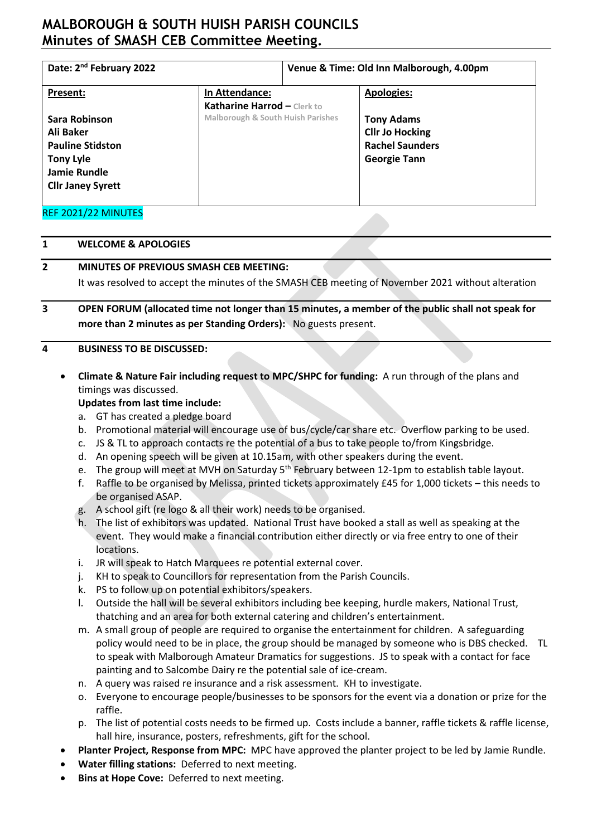# **MALBOROUGH & SOUTH HUISH PARISH COUNCILS Minutes of SMASH CEB Committee Meeting.**

| Date: 2 <sup>nd</sup> February 2022                                                                                          |                                               | Venue & Time: Old Inn Malborough, 4.00pm |                                                                                              |
|------------------------------------------------------------------------------------------------------------------------------|-----------------------------------------------|------------------------------------------|----------------------------------------------------------------------------------------------|
| Present:                                                                                                                     | In Attendance:<br>Katharine Harrod - Clerk to |                                          | <b>Apologies:</b>                                                                            |
| Sara Robinson<br>Ali Baker<br><b>Pauline Stidston</b><br><b>Tony Lyle</b><br><b>Jamie Rundle</b><br><b>Cllr Janey Syrett</b> | <b>Malborough &amp; South Huish Parishes</b>  |                                          | <b>Tony Adams</b><br><b>Cllr Jo Hocking</b><br><b>Rachel Saunders</b><br><b>Georgie Tann</b> |
| REF 2021/22 MINUTES                                                                                                          |                                               |                                          |                                                                                              |

#### **1 WELCOME & APOLOGIES**

### **2 MINUTES OF PREVIOUS SMASH CEB MEETING:**

It was resolved to accept the minutes of the SMASH CEB meeting of November 2021 without alteration

**3 OPEN FORUM (allocated time not longer than 15 minutes, a member of the public shall not speak for more than 2 minutes as per Standing Orders):** No guests present.

#### **4 BUSINESS TO BE DISCUSSED:**

• **Climate & Nature Fair including request to MPC/SHPC for funding:** A run through of the plans and timings was discussed.

#### **Updates from last time include:**

- a. GT has created a pledge board
- b. Promotional material will encourage use of bus/cycle/car share etc. Overflow parking to be used.
- c. JS & TL to approach contacts re the potential of a bus to take people to/from Kingsbridge.
- d. An opening speech will be given at 10.15am, with other speakers during the event.
- e. The group will meet at MVH on Saturday 5<sup>th</sup> February between 12-1pm to establish table layout.
- f. Raffle to be organised by Melissa, printed tickets approximately £45 for 1,000 tickets this needs to be organised ASAP.
- g. A school gift (re logo & all their work) needs to be organised.
- h. The list of exhibitors was updated. National Trust have booked a stall as well as speaking at the event. They would make a financial contribution either directly or via free entry to one of their locations.
- i. JR will speak to Hatch Marquees re potential external cover.
- j. KH to speak to Councillors for representation from the Parish Councils.
- k. PS to follow up on potential exhibitors/speakers.
- l. Outside the hall will be several exhibitors including bee keeping, hurdle makers, National Trust, thatching and an area for both external catering and children's entertainment.
- m. A small group of people are required to organise the entertainment for children. A safeguarding policy would need to be in place, the group should be managed by someone who is DBS checked. TL to speak with Malborough Amateur Dramatics for suggestions. JS to speak with a contact for face painting and to Salcombe Dairy re the potential sale of ice-cream.
- n. A query was raised re insurance and a risk assessment. KH to investigate.
- o. Everyone to encourage people/businesses to be sponsors for the event via a donation or prize for the raffle.
- p. The list of potential costs needs to be firmed up. Costs include a banner, raffle tickets & raffle license, hall hire, insurance, posters, refreshments, gift for the school.
- **Planter Project, Response from MPC:** MPC have approved the planter project to be led by Jamie Rundle.
- **Water filling stations:** Deferred to next meeting.
- **Bins at Hope Cove:** Deferred to next meeting.